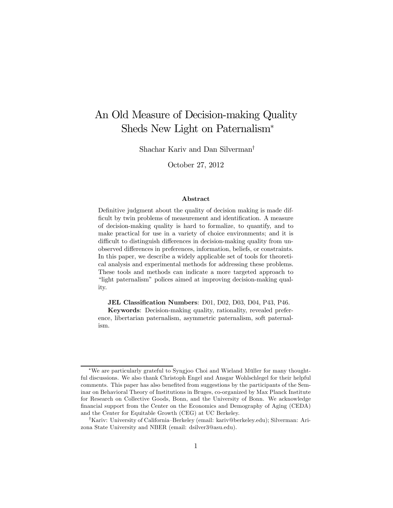# An Old Measure of Decision-making Quality Sheds New Light on Paternalism<sup>∗</sup>

Shachar Kariv and Dan Silverman†

October 27, 2012

#### Abstract

Definitive judgment about the quality of decision making is made difficult by twin problems of measurement and identification. A measure of decision-making quality is hard to formalize, to quantify, and to make practical for use in a variety of choice environments; and it is difficult to distinguish differences in decision-making quality from unobserved differences in preferences, information, beliefs, or constraints. In this paper, we describe a widely applicable set of tools for theoretical analysis and experimental methods for addressing these problems. These tools and methods can indicate a more targeted approach to "light paternalism" polices aimed at improving decision-making quality.

JEL Classification Numbers: D01, D02, D03, D04, P43, P46.

Keywords: Decision-making quality, rationality, revealed preference, libertarian paternalism, asymmetric paternalism, soft paternalism.

<sup>∗</sup>We are particularly grateful to Syngjoo Choi and Wieland Müller for many thoughtful discussions. We also thank Christoph Engel and Ansgar Wohlschlegel for their helpful comments. This paper has also benefited from suggestions by the participants of the Seminar on Behavioral Theory of Institutions in Bruges, co-organized by Max Planck Institute for Research on Collective Goods, Bonn, and the University of Bonn. We acknowledge financial support from the Center on the Economics and Demography of Aging (CEDA) and the Center for Equitable Growth (CEG) at UC Berkeley.

<sup>†</sup>Kariv: University of California—Berkeley (email: kariv@berkeley.edu); Silverman: Arizona State University and NBER (email: dsilver3@asu.edu).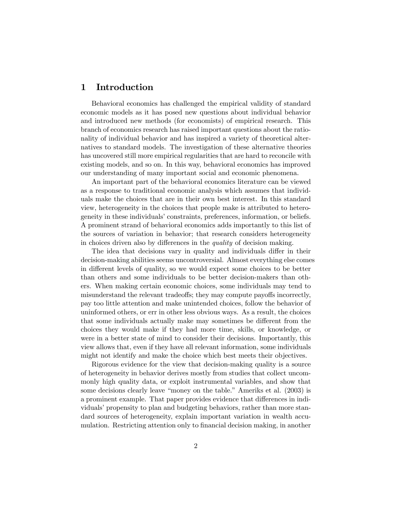# 1 Introduction

Behavioral economics has challenged the empirical validity of standard economic models as it has posed new questions about individual behavior and introduced new methods (for economists) of empirical research. This branch of economics research has raised important questions about the rationality of individual behavior and has inspired a variety of theoretical alternatives to standard models. The investigation of these alternative theories has uncovered still more empirical regularities that are hard to reconcile with existing models, and so on. In this way, behavioral economics has improved our understanding of many important social and economic phenomena.

An important part of the behavioral economics literature can be viewed as a response to traditional economic analysis which assumes that individuals make the choices that are in their own best interest. In this standard view, heterogeneity in the choices that people make is attributed to heterogeneity in these individuals' constraints, preferences, information, or beliefs. A prominent strand of behavioral economics adds importantly to this list of the sources of variation in behavior; that research considers heterogeneity in choices driven also by differences in the quality of decision making.

The idea that decisions vary in quality and individuals differ in their decision-making abilities seems uncontroversial. Almost everything else comes in different levels of quality, so we would expect some choices to be better than others and some individuals to be better decision-makers than others. When making certain economic choices, some individuals may tend to misunderstand the relevant tradeoffs; they may compute payoffs incorrectly, pay too little attention and make unintended choices, follow the behavior of uninformed others, or err in other less obvious ways. As a result, the choices that some individuals actually make may sometimes be different from the choices they would make if they had more time, skills, or knowledge, or were in a better state of mind to consider their decisions. Importantly, this view allows that, even if they have all relevant information, some individuals might not identify and make the choice which best meets their objectives.

Rigorous evidence for the view that decision-making quality is a source of heterogeneity in behavior derives mostly from studies that collect uncommonly high quality data, or exploit instrumental variables, and show that some decisions clearly leave "money on the table." Ameriks et al. (2003) is a prominent example. That paper provides evidence that differences in individuals' propensity to plan and budgeting behaviors, rather than more standard sources of heterogeneity, explain important variation in wealth accumulation. Restricting attention only to financial decision making, in another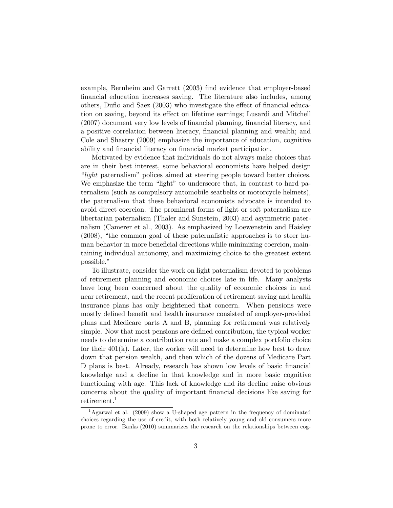example, Bernheim and Garrett (2003) find evidence that employer-based financial education increases saving. The literature also includes, among others, Duflo and Saez (2003) who investigate the effect of financial education on saving, beyond its effect on lifetime earnings; Lusardi and Mitchell (2007) document very low levels of financial planning, financial literacy, and a positive correlation between literacy, financial planning and wealth; and Cole and Shastry (2009) emphasize the importance of education, cognitive ability and financial literacy on financial market participation.

Motivated by evidence that individuals do not always make choices that are in their best interest, some behavioral economists have helped design "light paternalism" polices aimed at steering people toward better choices. We emphasize the term "light" to underscore that, in contrast to hard paternalism (such as compulsory automobile seatbelts or motorcycle helmets), the paternalism that these behavioral economists advocate is intended to avoid direct coercion. The prominent forms of light or soft paternalism are libertarian paternalism (Thaler and Sunstein, 2003) and asymmetric paternalism (Camerer et al., 2003). As emphasized by Loewenstein and Haisley (2008), "the common goal of these paternalistic approaches is to steer human behavior in more beneficial directions while minimizing coercion, maintaining individual autonomy, and maximizing choice to the greatest extent possible."

To illustrate, consider the work on light paternalism devoted to problems of retirement planning and economic choices late in life. Many analysts have long been concerned about the quality of economic choices in and near retirement, and the recent proliferation of retirement saving and health insurance plans has only heightened that concern. When pensions were mostly defined benefit and health insurance consisted of employer-provided plans and Medicare parts A and B, planning for retirement was relatively simple. Now that most pensions are defined contribution, the typical worker needs to determine a contribution rate and make a complex portfolio choice for their  $401(k)$ . Later, the worker will need to determine how best to draw down that pension wealth, and then which of the dozens of Medicare Part D plans is best. Already, research has shown low levels of basic financial knowledge and a decline in that knowledge and in more basic cognitive functioning with age. This lack of knowledge and its decline raise obvious concerns about the quality of important financial decisions like saving for retirement.<sup>1</sup>

<sup>&</sup>lt;sup>1</sup>Agarwal et al. (2009) show a U-shaped age pattern in the frequency of dominated choices regarding the use of credit, with both relatively young and old consumers more prone to error. Banks (2010) summarizes the research on the relationships between cog-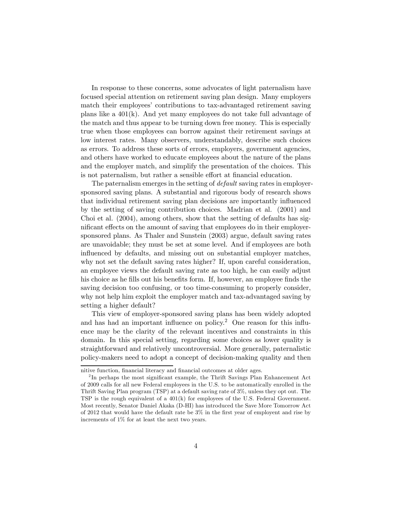In response to these concerns, some advocates of light paternalism have focused special attention on retirement saving plan design. Many employers match their employees' contributions to tax-advantaged retirement saving plans like a  $401(k)$ . And yet many employees do not take full advantage of the match and thus appear to be turning down free money. This is especially true when those employees can borrow against their retirement savings at low interest rates. Many observers, understandably, describe such choices as errors. To address these sorts of errors, employers, government agencies, and others have worked to educate employees about the nature of the plans and the employer match, and simplify the presentation of the choices. This is not paternalism, but rather a sensible effort at financial education.

The paternalism emerges in the setting of *default* saving rates in employersponsored saving plans. A substantial and rigorous body of research shows that individual retirement saving plan decisions are importantly influenced by the setting of saving contribution choices. Madrian et al. (2001) and Choi et al. (2004), among others, show that the setting of defaults has significant effects on the amount of saving that employees do in their employersponsored plans. As Thaler and Sunstein (2003) argue, default saving rates are unavoidable; they must be set at some level. And if employees are both influenced by defaults, and missing out on substantial employer matches, why not set the default saving rates higher? If, upon careful consideration, an employee views the default saving rate as too high, he can easily adjust his choice as he fills out his benefits form. If, however, an employee finds the saving decision too confusing, or too time-consuming to properly consider, why not help him exploit the employer match and tax-advantaged saving by setting a higher default?

This view of employer-sponsored saving plans has been widely adopted and has had an important influence on policy.<sup>2</sup> One reason for this influence may be the clarity of the relevant incentives and constraints in this domain. In this special setting, regarding some choices as lower quality is straightforward and relatively uncontroversial. More generally, paternalistic policy-makers need to adopt a concept of decision-making quality and then

nitive function, financial literacy and financial outcomes at older ages.

<sup>2</sup> In perhaps the most significant example, the Thrift Savings Plan Enhancement Act of 2009 calls for all new Federal employees in the U.S. to be automatically enrolled in the Thrift Saving Plan program (TSP) at a default saving rate of 3%, unless they opt out. The TSP is the rough equivalent of a 401(k) for employees of the U.S. Federal Government. Most recently, Senator Daniel Akaka (D-HI) has introduced the Save More Tomorrow Act of 2012 that would have the default rate be 3% in the first year of employent and rise by increments of 1% for at least the next two years.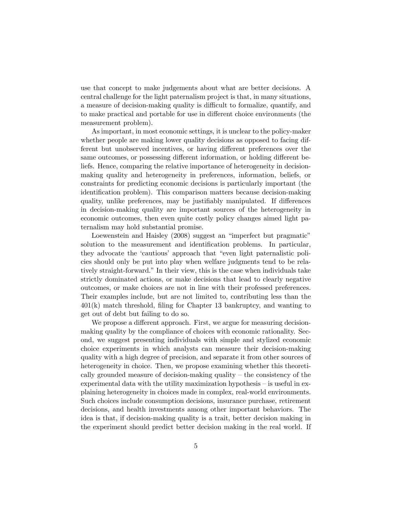use that concept to make judgements about what are better decisions. A central challenge for the light paternalism project is that, in many situations, a measure of decision-making quality is difficult to formalize, quantify, and to make practical and portable for use in different choice environments (the measurement problem).

As important, in most economic settings, it is unclear to the policy-maker whether people are making lower quality decisions as opposed to facing different but unobserved incentives, or having different preferences over the same outcomes, or possessing different information, or holding different beliefs. Hence, comparing the relative importance of heterogeneity in decisionmaking quality and heterogeneity in preferences, information, beliefs, or constraints for predicting economic decisions is particularly important (the identification problem). This comparison matters because decision-making quality, unlike preferences, may be justifiably manipulated. If differences in decision-making quality are important sources of the heterogeneity in economic outcomes, then even quite costly policy changes aimed light paternalism may hold substantial promise.

Loewenstein and Haisley (2008) suggest an "imperfect but pragmatic" solution to the measurement and identification problems. In particular, they advocate the 'cautious' approach that "even light paternalistic policies should only be put into play when welfare judgments tend to be relatively straight-forward." In their view, this is the case when individuals take strictly dominated actions, or make decisions that lead to clearly negative outcomes, or make choices are not in line with their professed preferences. Their examples include, but are not limited to, contributing less than the  $401(k)$  match threshold, filing for Chapter 13 bankruptcy, and wanting to get out of debt but failing to do so.

We propose a different approach. First, we argue for measuring decisionmaking quality by the compliance of choices with economic rationality. Second, we suggest presenting individuals with simple and stylized economic choice experiments in which analysts can measure their decision-making quality with a high degree of precision, and separate it from other sources of heterogeneity in choice. Then, we propose examining whether this theoretically grounded measure of decision-making quality  $-$  the consistency of the experimental data with the utility maximization hypothesis — is useful in explaining heterogeneity in choices made in complex, real-world environments. Such choices include consumption decisions, insurance purchase, retirement decisions, and health investments among other important behaviors. The idea is that, if decision-making quality is a trait, better decision making in the experiment should predict better decision making in the real world. If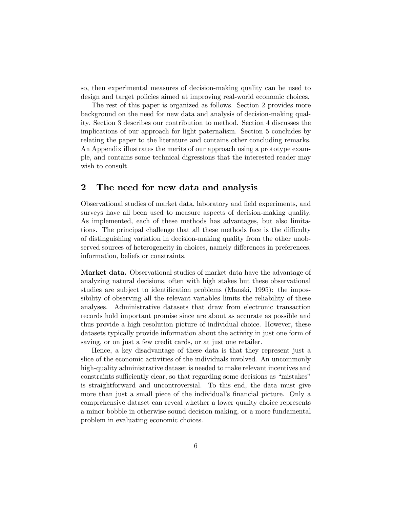so, then experimental measures of decision-making quality can be used to design and target policies aimed at improving real-world economic choices.

The rest of this paper is organized as follows. Section 2 provides more background on the need for new data and analysis of decision-making quality. Section 3 describes our contribution to method. Section 4 discusses the implications of our approach for light paternalism. Section 5 concludes by relating the paper to the literature and contains other concluding remarks. An Appendix illustrates the merits of our approach using a prototype example, and contains some technical digressions that the interested reader may wish to consult.

# 2 The need for new data and analysis

Observational studies of market data, laboratory and field experiments, and surveys have all been used to measure aspects of decision-making quality. As implemented, each of these methods has advantages, but also limitations. The principal challenge that all these methods face is the difficulty of distinguishing variation in decision-making quality from the other unobserved sources of heterogeneity in choices, namely differences in preferences, information, beliefs or constraints.

Market data. Observational studies of market data have the advantage of analyzing natural decisions, often with high stakes but these observational studies are subject to identification problems (Manski, 1995): the impossibility of observing all the relevant variables limits the reliability of these analyses. Administrative datasets that draw from electronic transaction records hold important promise since are about as accurate as possible and thus provide a high resolution picture of individual choice. However, these datasets typically provide information about the activity in just one form of saving, or on just a few credit cards, or at just one retailer.

Hence, a key disadvantage of these data is that they represent just a slice of the economic activities of the individuals involved. An uncommonly high-quality administrative dataset is needed to make relevant incentives and constraints sufficiently clear, so that regarding some decisions as "mistakes" is straightforward and uncontroversial. To this end, the data must give more than just a small piece of the individual's financial picture. Only a comprehensive dataset can reveal whether a lower quality choice represents a minor bobble in otherwise sound decision making, or a more fundamental problem in evaluating economic choices.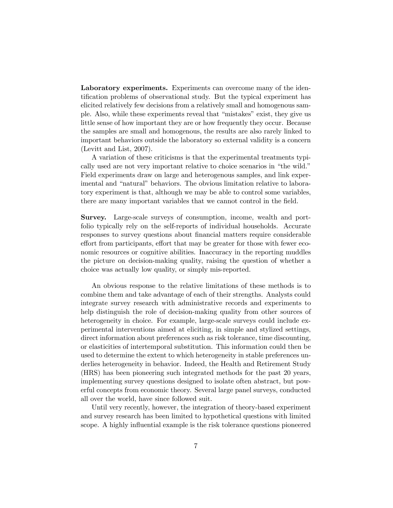Laboratory experiments. Experiments can overcome many of the identification problems of observational study. But the typical experiment has elicited relatively few decisions from a relatively small and homogenous sample. Also, while these experiments reveal that "mistakes" exist, they give us little sense of how important they are or how frequently they occur. Because the samples are small and homogenous, the results are also rarely linked to important behaviors outside the laboratory so external validity is a concern (Levitt and List, 2007).

A variation of these criticisms is that the experimental treatments typically used are not very important relative to choice scenarios in "the wild." Field experiments draw on large and heterogenous samples, and link experimental and "natural" behaviors. The obvious limitation relative to laboratory experiment is that, although we may be able to control some variables, there are many important variables that we cannot control in the field.

Survey. Large-scale surveys of consumption, income, wealth and portfolio typically rely on the self-reports of individual households. Accurate responses to survey questions about financial matters require considerable effort from participants, effort that may be greater for those with fewer economic resources or cognitive abilities. Inaccuracy in the reporting muddles the picture on decision-making quality, raising the question of whether a choice was actually low quality, or simply mis-reported.

An obvious response to the relative limitations of these methods is to combine them and take advantage of each of their strengths. Analysts could integrate survey research with administrative records and experiments to help distinguish the role of decision-making quality from other sources of heterogeneity in choice. For example, large-scale surveys could include experimental interventions aimed at eliciting, in simple and stylized settings, direct information about preferences such as risk tolerance, time discounting, or elasticities of intertemporal substitution. This information could then be used to determine the extent to which heterogeneity in stable preferences underlies heterogeneity in behavior. Indeed, the Health and Retirement Study (HRS) has been pioneering such integrated methods for the past 20 years, implementing survey questions designed to isolate often abstract, but powerful concepts from economic theory. Several large panel surveys, conducted all over the world, have since followed suit.

Until very recently, however, the integration of theory-based experiment and survey research has been limited to hypothetical questions with limited scope. A highly influential example is the risk tolerance questions pioneered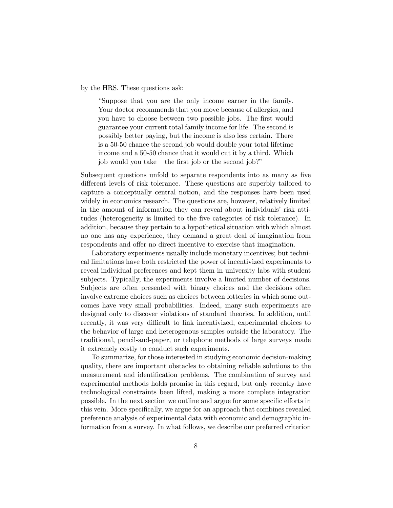by the HRS. These questions ask:

"Suppose that you are the only income earner in the family. Your doctor recommends that you move because of allergies, and you have to choose between two possible jobs. The first would guarantee your current total family income for life. The second is possibly better paying, but the income is also less certain. There is a 50-50 chance the second job would double your total lifetime income and a 50-50 chance that it would cut it by a third. Which job would you take — the first job or the second job?"

Subsequent questions unfold to separate respondents into as many as five different levels of risk tolerance. These questions are superbly tailored to capture a conceptually central notion, and the responses have been used widely in economics research. The questions are, however, relatively limited in the amount of information they can reveal about individuals' risk attitudes (heterogeneity is limited to the five categories of risk tolerance). In addition, because they pertain to a hypothetical situation with which almost no one has any experience, they demand a great deal of imagination from respondents and offer no direct incentive to exercise that imagination.

Laboratory experiments usually include monetary incentives; but technical limitations have both restricted the power of incentivized experiments to reveal individual preferences and kept them in university labs with student subjects. Typically, the experiments involve a limited number of decisions. Subjects are often presented with binary choices and the decisions often involve extreme choices such as choices between lotteries in which some outcomes have very small probabilities. Indeed, many such experiments are designed only to discover violations of standard theories. In addition, until recently, it was very difficult to link incentivized, experimental choices to the behavior of large and heterogenous samples outside the laboratory. The traditional, pencil-and-paper, or telephone methods of large surveys made it extremely costly to conduct such experiments.

To summarize, for those interested in studying economic decision-making quality, there are important obstacles to obtaining reliable solutions to the measurement and identification problems. The combination of survey and experimental methods holds promise in this regard, but only recently have technological constraints been lifted, making a more complete integration possible. In the next section we outline and argue for some specific efforts in this vein. More specifically, we argue for an approach that combines revealed preference analysis of experimental data with economic and demographic information from a survey. In what follows, we describe our preferred criterion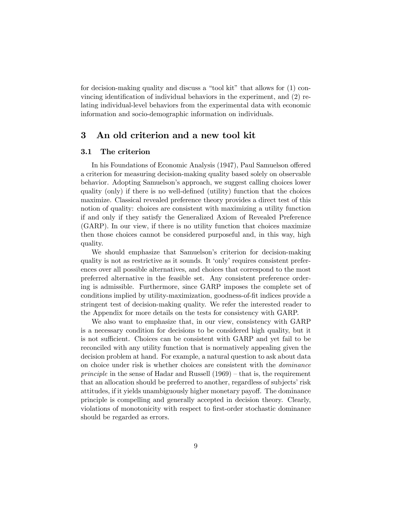for decision-making quality and discuss a "tool kit" that allows for (1) convincing identification of individual behaviors in the experiment, and (2) relating individual-level behaviors from the experimental data with economic information and socio-demographic information on individuals.

## 3 An old criterion and a new tool kit

### 3.1 The criterion

In his Foundations of Economic Analysis (1947), Paul Samuelson offered a criterion for measuring decision-making quality based solely on observable behavior. Adopting Samuelson's approach, we suggest calling choices lower quality (only) if there is no well-defined (utility) function that the choices maximize. Classical revealed preference theory provides a direct test of this notion of quality: choices are consistent with maximizing a utility function if and only if they satisfy the Generalized Axiom of Revealed Preference (GARP). In our view, if there is no utility function that choices maximize then those choices cannot be considered purposeful and, in this way, high quality.

We should emphasize that Samuelson's criterion for decision-making quality is not as restrictive as it sounds. It 'only' requires consistent preferences over all possible alternatives, and choices that correspond to the most preferred alternative in the feasible set. Any consistent preference ordering is admissible. Furthermore, since GARP imposes the complete set of conditions implied by utility-maximization, goodness-of-fit indices provide a stringent test of decision-making quality. We refer the interested reader to the Appendix for more details on the tests for consistency with GARP.

We also want to emphasize that, in our view, consistency with GARP is a necessary condition for decisions to be considered high quality, but it is not sufficient. Choices can be consistent with GARP and yet fail to be reconciled with any utility function that is normatively appealing given the decision problem at hand. For example, a natural question to ask about data on choice under risk is whether choices are consistent with the dominance *principle* in the sense of Hadar and Russell  $(1969)$  – that is, the requirement that an allocation should be preferred to another, regardless of subjects' risk attitudes, if it yields unambiguously higher monetary payoff. The dominance principle is compelling and generally accepted in decision theory. Clearly, violations of monotonicity with respect to first-order stochastic dominance should be regarded as errors.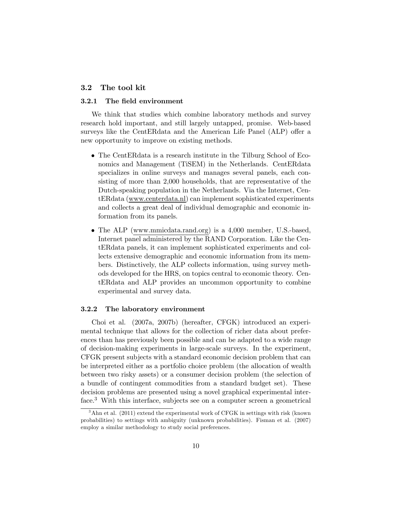### 3.2 The tool kit

#### 3.2.1 The field environment

We think that studies which combine laboratory methods and survey research hold important, and still largely untapped, promise. Web-based surveys like the CentERdata and the American Life Panel (ALP) offer a new opportunity to improve on existing methods.

- The CentERdata is a research institute in the Tilburg School of Economics and Management (TiSEM) in the Netherlands. CentERdata specializes in online surveys and manages several panels, each consisting of more than 2,000 households, that are representative of the Dutch-speaking population in the Netherlands. Via the Internet, CentERdata (www.centerdata.nl) can implement sophisticated experiments and collects a great deal of individual demographic and economic information from its panels.
- The ALP (www.mmicdata.rand.org) is a 4,000 member, U.S.-based, Internet panel administered by the RAND Corporation. Like the CentERdata panels, it can implement sophisticated experiments and collects extensive demographic and economic information from its members. Distinctively, the ALP collects information, using survey methods developed for the HRS, on topics central to economic theory. CentERdata and ALP provides an uncommon opportunity to combine experimental and survey data.

#### 3.2.2 The laboratory environment

Choi et al. (2007a, 2007b) (hereafter, CFGK) introduced an experimental technique that allows for the collection of richer data about preferences than has previously been possible and can be adapted to a wide range of decision-making experiments in large-scale surveys. In the experiment, CFGK present subjects with a standard economic decision problem that can be interpreted either as a portfolio choice problem (the allocation of wealth between two risky assets) or a consumer decision problem (the selection of a bundle of contingent commodities from a standard budget set). These decision problems are presented using a novel graphical experimental interface.3 With this interface, subjects see on a computer screen a geometrical

<sup>&</sup>lt;sup>3</sup>Ahn et al. (2011) extend the experimental work of CFGK in settings with risk (known probabilities) to settings with ambiguity (unknown probabilities). Fisman et al. (2007) employ a similar methodology to study social preferences.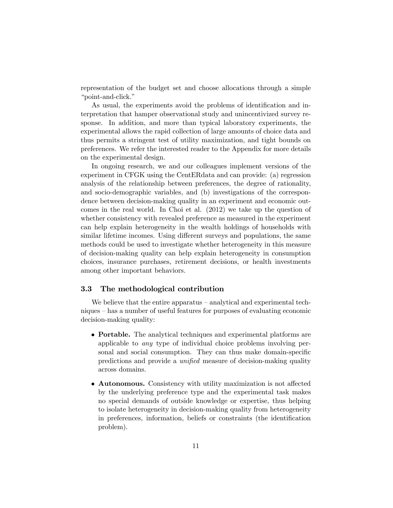representation of the budget set and choose allocations through a simple "point-and-click."

As usual, the experiments avoid the problems of identification and interpretation that hamper observational study and unincentivized survey response. In addition, and more than typical laboratory experiments, the experimental allows the rapid collection of large amounts of choice data and thus permits a stringent test of utility maximization, and tight bounds on preferences. We refer the interested reader to the Appendix for more details on the experimental design.

In ongoing research, we and our colleagues implement versions of the experiment in CFGK using the CentERdata and can provide: (a) regression analysis of the relationship between preferences, the degree of rationality, and socio-demographic variables, and (b) investigations of the correspondence between decision-making quality in an experiment and economic outcomes in the real world. In Choi et al. (2012) we take up the question of whether consistency with revealed preference as measured in the experiment can help explain heterogeneity in the wealth holdings of households with similar lifetime incomes. Using different surveys and populations, the same methods could be used to investigate whether heterogeneity in this measure of decision-making quality can help explain heterogeneity in consumption choices, insurance purchases, retirement decisions, or health investments among other important behaviors.

### 3.3 The methodological contribution

We believe that the entire apparatus – analytical and experimental techniques — has a number of useful features for purposes of evaluating economic decision-making quality:

- Portable. The analytical techniques and experimental platforms are applicable to any type of individual choice problems involving personal and social consumption. They can thus make domain-specific predictions and provide a unified measure of decision-making quality across domains.
- Autonomous. Consistency with utility maximization is not affected by the underlying preference type and the experimental task makes no special demands of outside knowledge or expertise, thus helping to isolate heterogeneity in decision-making quality from heterogeneity in preferences, information, beliefs or constraints (the identification problem).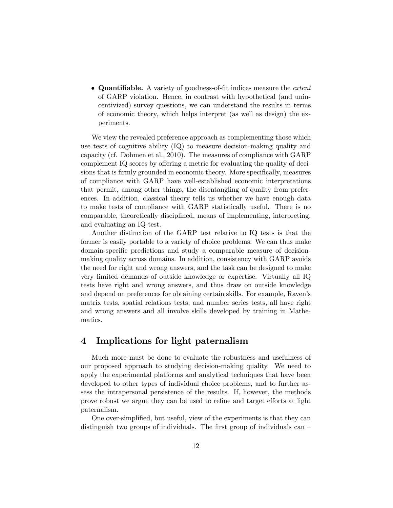• Quantifiable. A variety of goodness-of-fit indices measure the extent of GARP violation. Hence, in contrast with hypothetical (and unincentivized) survey questions, we can understand the results in terms of economic theory, which helps interpret (as well as design) the experiments.

We view the revealed preference approach as complementing those which use tests of cognitive ability (IQ) to measure decision-making quality and capacity (cf. Dohmen et al., 2010). The measures of compliance with GARP complement IQ scores by offering a metric for evaluating the quality of decisions that is firmly grounded in economic theory. More specifically, measures of compliance with GARP have well-established economic interpretations that permit, among other things, the disentangling of quality from preferences. In addition, classical theory tells us whether we have enough data to make tests of compliance with GARP statistically useful. There is no comparable, theoretically disciplined, means of implementing, interpreting, and evaluating an IQ test.

Another distinction of the GARP test relative to IQ tests is that the former is easily portable to a variety of choice problems. We can thus make domain-specific predictions and study a comparable measure of decisionmaking quality across domains. In addition, consistency with GARP avoids the need for right and wrong answers, and the task can be designed to make very limited demands of outside knowledge or expertise. Virtually all IQ tests have right and wrong answers, and thus draw on outside knowledge and depend on preferences for obtaining certain skills. For example, Raven's matrix tests, spatial relations tests, and number series tests, all have right and wrong answers and all involve skills developed by training in Mathematics.

# 4 Implications for light paternalism

Much more must be done to evaluate the robustness and usefulness of our proposed approach to studying decision-making quality. We need to apply the experimental platforms and analytical techniques that have been developed to other types of individual choice problems, and to further assess the intrapersonal persistence of the results. If, however, the methods prove robust we argue they can be used to refine and target efforts at light paternalism.

One over-simplified, but useful, view of the experiments is that they can distinguish two groups of individuals. The first group of individuals can —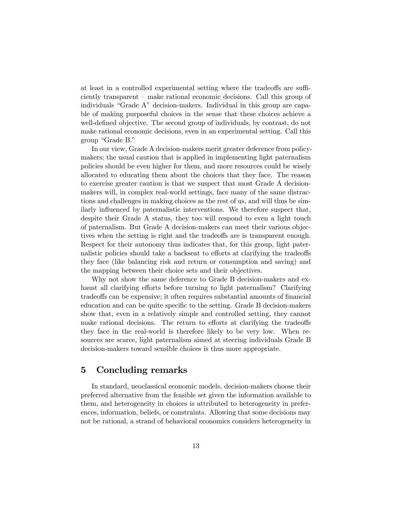at least in a controlled experimental setting where the tradeoffs are sufficiently transparent — make rational economic decisions. Call this group of individuals "Grade A" decision-makers. Individual in this group are capable of making purposeful choices in the sense that these choices achieve a well-defined objective. The second group of individuals, by contrast, do not make rational economic decisions, even in an experimental setting. Call this group "Grade B."

In our view, Grade A decision-makers merit greater deference from policymakers; the usual caution that is applied in implementing light paternalism policies should be even higher for them, and more resources could be wisely allocated to educating them about the choices that they face. The reason to exercise greater caution is that we suspect that most Grade A decisionmakers will, in complex real-world settings, face many of the same distractions and challenges in making choices as the rest of us, and will thus be similarly influenced by paternalistic interventions. We therefore suspect that, despite their Grade A status, they too will respond to even a light touch of paternalism. But Grade A decision-makers can meet their various objectives when the setting is right and the tradeoffs are is transparent enough. Respect for their autonomy thus indicates that, for this group, light paternalistic policies should take a backseat to efforts at clarifying the tradeoffs they face (like balancing risk and return or consumption and saving) and the mapping between their choice sets and their objectives.

Why not show the same deference to Grade B decision-makers and exhaust all clarifying efforts before turning to light paternalism? Clarifying tradeoffs can be expensive; it often requires substantial amounts of financial education and can be quite specific to the setting. Grade B decision-makers show that, even in a relatively simple and controlled setting, they cannot make rational decisions. The return to efforts at clarifying the tradeoffs they face in the real-world is therefore likely to be very low. When resources are scarce, light paternalism aimed at steering individuals Grade B decision-makers toward sensible choices is thus more appropriate.

# 5 Concluding remarks

In standard, neoclassical economic models, decision-makers choose their preferred alternative from the feasible set given the information available to them, and heterogeneity in choices is attributed to heterogeneity in preferences, information, beliefs, or constraints. Allowing that some decisions may not be rational, a strand of behavioral economics considers heterogeneity in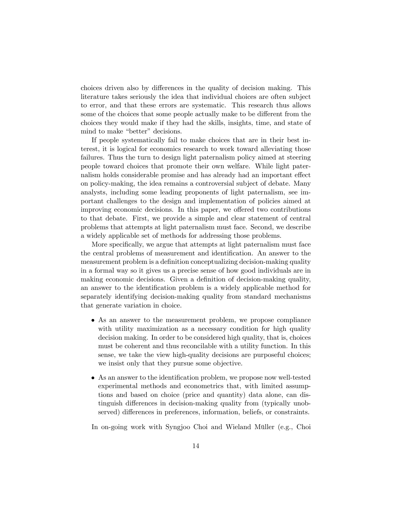choices driven also by differences in the quality of decision making. This literature takes seriously the idea that individual choices are often subject to error, and that these errors are systematic. This research thus allows some of the choices that some people actually make to be different from the choices they would make if they had the skills, insights, time, and state of mind to make "better" decisions.

If people systematically fail to make choices that are in their best interest, it is logical for economics research to work toward alleviating those failures. Thus the turn to design light paternalism policy aimed at steering people toward choices that promote their own welfare. While light paternalism holds considerable promise and has already had an important effect on policy-making, the idea remains a controversial subject of debate. Many analysts, including some leading proponents of light paternalism, see important challenges to the design and implementation of policies aimed at improving economic decisions. In this paper, we offered two contributions to that debate. First, we provide a simple and clear statement of central problems that attempts at light paternalism must face. Second, we describe a widely applicable set of methods for addressing those problems.

More specifically, we argue that attempts at light paternalism must face the central problems of measurement and identification. An answer to the measurement problem is a definition conceptualizing decision-making quality in a formal way so it gives us a precise sense of how good individuals are in making economic decisions. Given a definition of decision-making quality, an answer to the identification problem is a widely applicable method for separately identifying decision-making quality from standard mechanisms that generate variation in choice.

- As an answer to the measurement problem, we propose compliance with utility maximization as a necessary condition for high quality decision making. In order to be considered high quality, that is, choices must be coherent and thus reconcilable with a utility function. In this sense, we take the view high-quality decisions are purposeful choices; we insist only that they pursue some objective.
- As an answer to the identification problem, we propose now well-tested experimental methods and econometrics that, with limited assumptions and based on choice (price and quantity) data alone, can distinguish differences in decision-making quality from (typically unobserved) differences in preferences, information, beliefs, or constraints.

In on-going work with Syngjoo Choi and Wieland Müller (e.g., Choi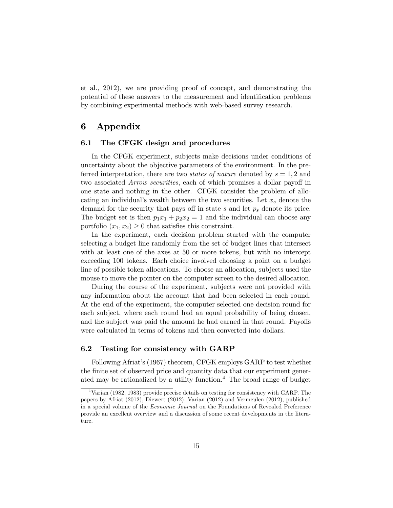et al., 2012), we are providing proof of concept, and demonstrating the potential of these answers to the measurement and identification problems by combining experimental methods with web-based survey research.

# 6 Appendix

### 6.1 The CFGK design and procedures

In the CFGK experiment, subjects make decisions under conditions of uncertainty about the objective parameters of the environment. In the preferred interpretation, there are two *states of nature* denoted by  $s = 1, 2$  and two associated Arrow securities, each of which promises a dollar payoff in one state and nothing in the other. CFGK consider the problem of allocating an individual's wealth between the two securities. Let  $x_s$  denote the demand for the security that pays off in state  $s$  and let  $p_s$  denote its price. The budget set is then  $p_1x_1 + p_2x_2 = 1$  and the individual can choose any portfolio  $(x_1, x_2) \geq 0$  that satisfies this constraint.

In the experiment, each decision problem started with the computer selecting a budget line randomly from the set of budget lines that intersect with at least one of the axes at 50 or more tokens, but with no intercept exceeding 100 tokens. Each choice involved choosing a point on a budget line of possible token allocations. To choose an allocation, subjects used the mouse to move the pointer on the computer screen to the desired allocation.

During the course of the experiment, subjects were not provided with any information about the account that had been selected in each round. At the end of the experiment, the computer selected one decision round for each subject, where each round had an equal probability of being chosen, and the subject was paid the amount he had earned in that round. Payoffs were calculated in terms of tokens and then converted into dollars.

### 6.2 Testing for consistency with GARP

Following Afriat's (1967) theorem, CFGK employs GARP to test whether the finite set of observed price and quantity data that our experiment generated may be rationalized by a utility function.4 The broad range of budget

<sup>4</sup>Varian (1982, 1983) provide precise details on testing for consistency with GARP. The papers by Afriat (2012), Diewert (2012), Varian (2012) and Vermeulen (2012), published in a special volume of the Economic Journal on the Foundations of Revealed Preference provide an excellent overview and a discussion of some recent developments in the literature.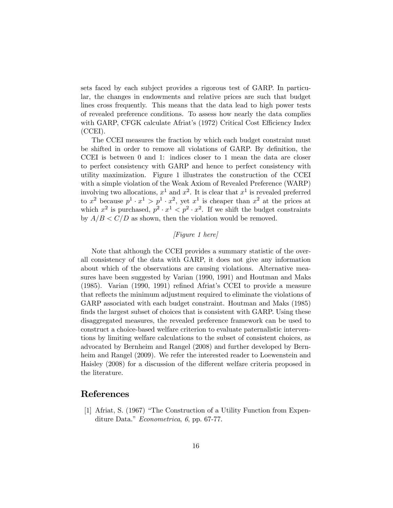sets faced by each subject provides a rigorous test of GARP. In particular, the changes in endowments and relative prices are such that budget lines cross frequently. This means that the data lead to high power tests of revealed preference conditions. To assess how nearly the data complies with GARP, CFGK calculate Afriat's (1972) Critical Cost Efficiency Index (CCEI).

The CCEI measures the fraction by which each budget constraint must be shifted in order to remove all violations of GARP. By definition, the CCEI is between 0 and 1: indices closer to 1 mean the data are closer to perfect consistency with GARP and hence to perfect consistency with utility maximization. Figure 1 illustrates the construction of the CCEI with a simple violation of the Weak Axiom of Revealed Preference (WARP) involving two allocations,  $x^1$  and  $x^2$ . It is clear that  $x^1$  is revealed preferred to  $x^2$  because  $p^1 \cdot x^1 > p^1 \cdot x^2$ , yet  $x^1$  is cheaper than  $x^2$  at the prices at which  $x^2$  is purchased,  $p^2 \cdot x^1 < p^2 \cdot x^2$ . If we shift the budget constraints by  $A/B < C/D$  as shown, then the violation would be removed.

### [Figure 1 here]

Note that although the CCEI provides a summary statistic of the overall consistency of the data with GARP, it does not give any information about which of the observations are causing violations. Alternative measures have been suggested by Varian (1990, 1991) and Houtman and Maks (1985). Varian (1990, 1991) refined Afriat's CCEI to provide a measure that reflects the minimum adjustment required to eliminate the violations of GARP associated with each budget constraint. Houtman and Maks (1985) finds the largest subset of choices that is consistent with GARP. Using these disaggregated measures, the revealed preference framework can be used to construct a choice-based welfare criterion to evaluate paternalistic interventions by limiting welfare calculations to the subset of consistent choices, as advocated by Bernheim and Rangel (2008) and further developed by Bernheim and Rangel (2009). We refer the interested reader to Loewenstein and Haisley (2008) for a discussion of the different welfare criteria proposed in the literature.

### References

[1] Afriat, S. (1967) "The Construction of a Utility Function from Expenditure Data." Econometrica, 6, pp. 67-77.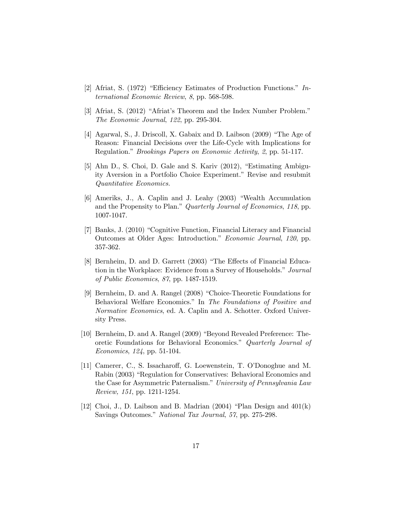- [2] Afriat, S. (1972) "Efficiency Estimates of Production Functions." International Economic Review, 8, pp. 568-598.
- [3] Afriat, S. (2012) "Afriat's Theorem and the Index Number Problem." The Economic Journal, 122, pp. 295-304.
- [4] Agarwal, S., J. Driscoll, X. Gabaix and D. Laibson (2009) "The Age of Reason: Financial Decisions over the Life-Cycle with Implications for Regulation." Brookings Papers on Economic Activity, 2, pp. 51-117.
- [5] Ahn D., S. Choi, D. Gale and S. Kariv (2012), "Estimating Ambiguity Aversion in a Portfolio Choice Experiment." Revise and resubmit Quantitative Economics.
- [6] Ameriks, J., A. Caplin and J. Leahy (2003) "Wealth Accumulation and the Propensity to Plan." Quarterly Journal of Economics, 118, pp. 1007-1047.
- [7] Banks, J. (2010) "Cognitive Function, Financial Literacy and Financial Outcomes at Older Ages: Introduction." Economic Journal, 120, pp. 357-362.
- [8] Bernheim, D. and D. Garrett (2003) "The Effects of Financial Education in the Workplace: Evidence from a Survey of Households." Journal of Public Economics, 87, pp. 1487-1519.
- [9] Bernheim, D. and A. Rangel (2008) "Choice-Theoretic Foundations for Behavioral Welfare Economics." In The Foundations of Positive and Normative Economics, ed. A. Caplin and A. Schotter. Oxford University Press.
- [10] Bernheim, D. and A. Rangel (2009) "Beyond Revealed Preference: Theoretic Foundations for Behavioral Economics." Quarterly Journal of Economics, 124, pp. 51-104.
- [11] Camerer, C., S. Issacharoff, G. Loewenstein, T. O'Donoghue and M. Rabin (2003) "Regulation for Conservatives: Behavioral Economics and the Case for Asymmetric Paternalism." University of Pennsylvania Law Review, 151, pp. 1211-1254.
- [12] Choi, J., D. Laibson and B. Madrian  $(2004)$  "Plan Design and  $401(k)$ Savings Outcomes." National Tax Journal, 57, pp. 275-298.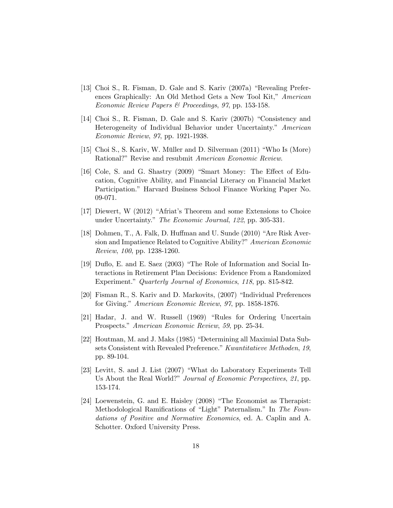- [13] Choi S., R. Fisman, D. Gale and S. Kariv (2007a) "Revealing Preferences Graphically: An Old Method Gets a New Tool Kit," American Economic Review Papers & Proceedings, 97, pp. 153-158.
- [14] Choi S., R. Fisman, D. Gale and S. Kariv (2007b) "Consistency and Heterogeneity of Individual Behavior under Uncertainty." American Economic Review, 97, pp. 1921-1938.
- [15] Choi S., S. Kariv, W. Müller and D. Silverman (2011) "Who Is (More) Rational?" Revise and resubmit American Economic Review.
- [16] Cole, S. and G. Shastry (2009) "Smart Money: The Effect of Education, Cognitive Ability, and Financial Literacy on Financial Market Participation." Harvard Business School Finance Working Paper No. 09-071.
- [17] Diewert, W (2012) "Afriat's Theorem and some Extensions to Choice under Uncertainty." The Economic Journal, 122, pp. 305-331.
- [18] Dohmen, T., A. Falk, D. Huffman and U. Sunde (2010) "Are Risk Aversion and Impatience Related to Cognitive Ability?" American Economic Review, 100, pp. 1238-1260.
- [19] Duflo, E. and E. Saez (2003) "The Role of Information and Social Interactions in Retirement Plan Decisions: Evidence From a Randomized Experiment." Quarterly Journal of Economics, 118, pp. 815-842.
- [20] Fisman R., S. Kariv and D. Markovits, (2007) "Individual Preferences for Giving." American Economic Review, 97, pp. 1858-1876.
- [21] Hadar, J. and W. Russell (1969) "Rules for Ordering Uncertain Prospects." American Economic Review, 59, pp. 25-34.
- [22] Houtman, M. and J. Maks (1985) "Determining all Maximial Data Subsets Consistent with Revealed Preference." Kwantitatieve Methoden, 19, pp. 89-104.
- [23] Levitt, S. and J. List (2007) "What do Laboratory Experiments Tell Us About the Real World?" Journal of Economic Perspectives, 21, pp. 153-174.
- [24] Loewenstein, G. and E. Haisley (2008) "The Economist as Therapist: Methodological Ramifications of "Light" Paternalism." In The Foundations of Positive and Normative Economics, ed. A. Caplin and A. Schotter. Oxford University Press.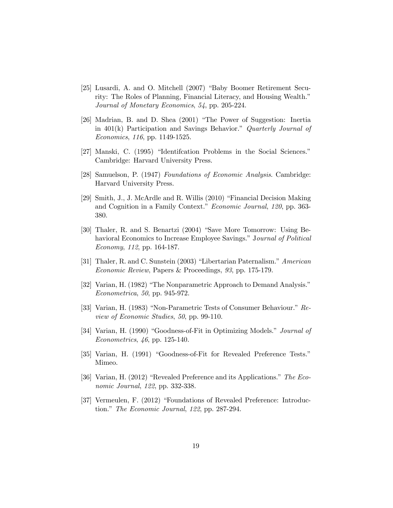- [25] Lusardi, A. and O. Mitchell (2007) "Baby Boomer Retirement Security: The Roles of Planning, Financial Literacy, and Housing Wealth." Journal of Monetary Economics, 54, pp. 205-224.
- [26] Madrian, B. and D. Shea (2001) "The Power of Suggestion: Inertia in 401(k) Participation and Savings Behavior." Quarterly Journal of Economics, 116, pp. 1149-1525.
- [27] Manski, C. (1995) "Identifcation Problems in the Social Sciences." Cambridge: Harvard University Press.
- [28] Samuelson, P. (1947) Foundations of Economic Analysis. Cambridge: Harvard University Press.
- [29] Smith, J., J. McArdle and R. Willis (2010) "Financial Decision Making and Cognition in a Family Context." Economic Journal, 120, pp. 363- 380.
- [30] Thaler, R. and S. Benartzi (2004) "Save More Tomorrow: Using Behavioral Economics to Increase Employee Savings." Journal of Political Economy, 112, pp. 164-187.
- [31] Thaler, R. and C. Sunstein (2003) "Libertarian Paternalism." American Economic Review, Papers & Proceedings, 93, pp. 175-179.
- [32] Varian, H. (1982) "The Nonparametric Approach to Demand Analysis." Econometrica, 50, pp. 945-972.
- [33] Varian, H. (1983) "Non-Parametric Tests of Consumer Behaviour." Review of Economic Studies, 50, pp. 99-110.
- [34] Varian, H. (1990) "Goodness-of-Fit in Optimizing Models." Journal of Econometrics, 46, pp. 125-140.
- [35] Varian, H. (1991) "Goodness-of-Fit for Revealed Preference Tests." Mimeo.
- [36] Varian, H. (2012) "Revealed Preference and its Applications." The Economic Journal, 122, pp. 332-338.
- [37] Vermeulen, F. (2012) "Foundations of Revealed Preference: Introduction." The Economic Journal, 122, pp. 287-294.